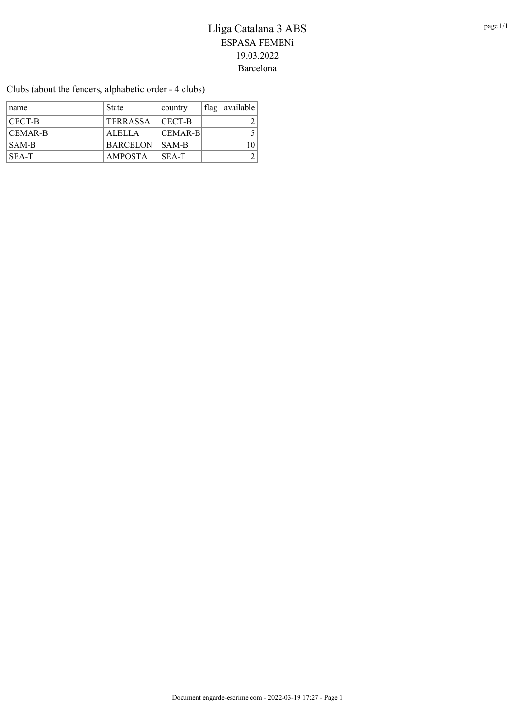Clubs (about the fencers, alphabetic order - 4 clubs)

| name           | State           | country        | flag   available |
|----------------|-----------------|----------------|------------------|
| CECT-B         | <b>TERRASSA</b> | CECT-B         |                  |
| <b>CEMAR-B</b> | ALELLA          | <b>CEMAR-B</b> |                  |
| SAM-B          | <b>BARCELON</b> | SAM-B          |                  |
| SEA-T          | <b>AMPOSTA</b>  | SEA-T          |                  |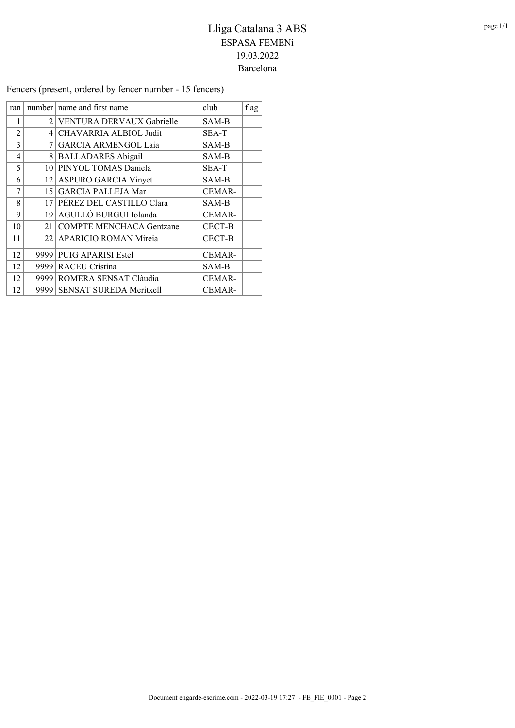Fencers (present, ordered by fencer number - 15 fencers)

| ran            |                 | number   name and first name    | club          | flag |
|----------------|-----------------|---------------------------------|---------------|------|
| 1              |                 | 2 VENTURA DERVAUX Gabrielle     | SAM-B         |      |
| $\mathfrak{D}$ |                 | 4 CHAVARRIA ALBIOL Judit        | <b>SEA-T</b>  |      |
| 3              | 7               | <b>GARCIA ARMENGOL Laia</b>     | SAM-B         |      |
| 4              | 8               | <b>BALLADARES Abigail</b>       | SAM-B         |      |
| 5              |                 | 10 PINYOL TOMAS Daniela         | SEA-T         |      |
| 6              |                 | 12 ASPURO GARCIA Vinyet         | SAM-B         |      |
| 7              |                 | 15 GARCIA PALLEJA Mar           | <b>CEMAR-</b> |      |
| 8              |                 | 17 PÉREZ DEL CASTILLO Clara     | SAM-B         |      |
| 9              | 19 <sup>°</sup> | AGULLÓ BURGUI Iolanda           | <b>CEMAR-</b> |      |
| 10             | 21              | <b>COMPTE MENCHACA Gentzane</b> | CECT-B        |      |
| 11             | 22              | APARICIO ROMAN Mireia           | <b>CECT-B</b> |      |
| 12             | 9999            | <b>PUIG APARISI Estel</b>       | CEMAR-        |      |
| 12             |                 | 9999 RACEU Cristina             | SAM-B         |      |
| 12             |                 | 9999 ROMERA SENSAT Clàudia      | <b>CEMAR-</b> |      |
| 12             |                 | 9999 SENSAT SUREDA Meritxell    | CEMAR-        |      |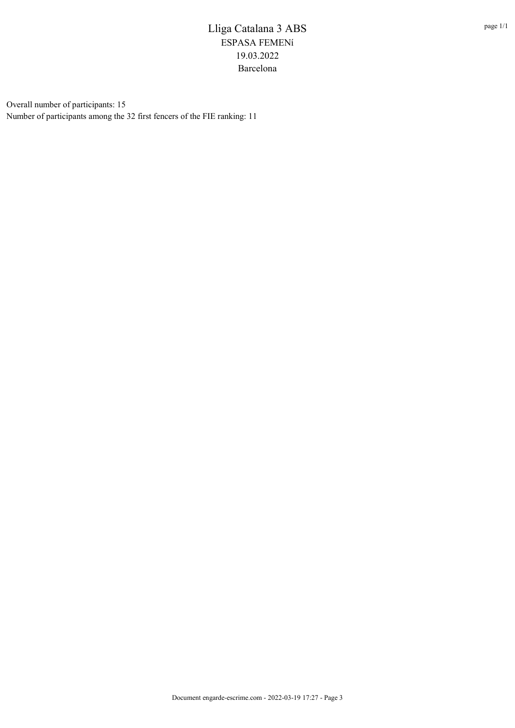Overall number of participants: 15 Number of participants among the 32 first fencers of the FIE ranking: 11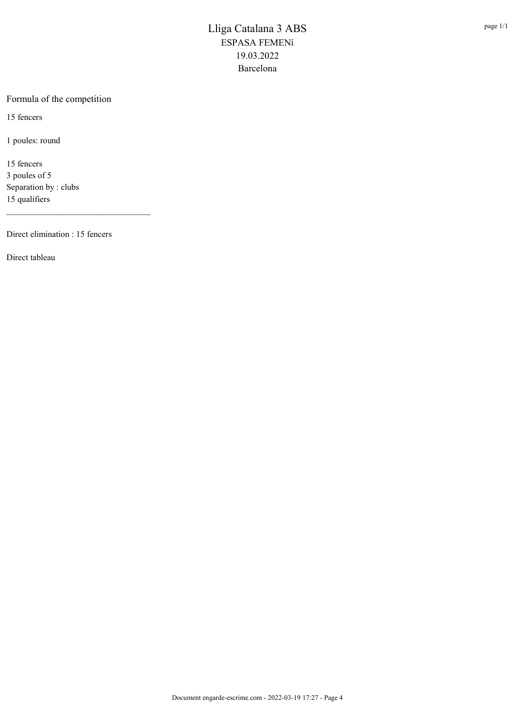#### Formula of the competition

15 fencers

1 poules: round

15 fencers 3 poules of 5 Separation by : clubs 15 qualifiers

Direct elimination : 15 fencers

\_\_\_\_\_\_\_\_\_\_\_\_\_\_\_\_\_\_\_\_\_\_\_\_\_\_\_\_\_\_\_\_\_

Direct tableau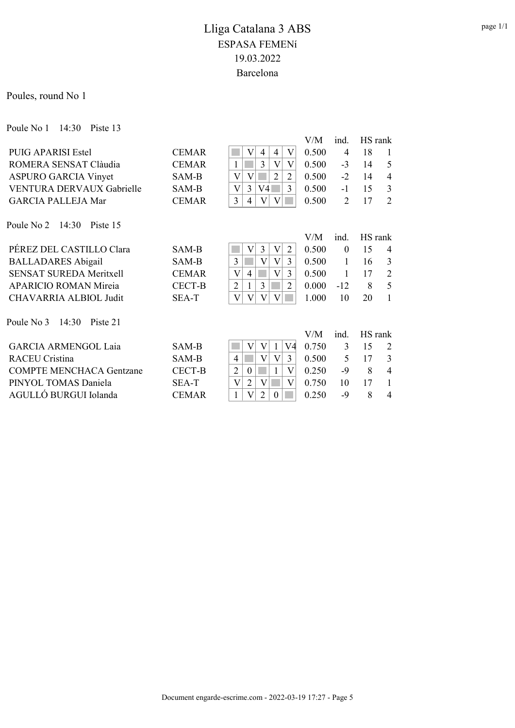Poules, round No 1

Poule No 1 14:30 Piste 13

|                                 |               |                                                           | V/M   | ind.           | HS rank |                |
|---------------------------------|---------------|-----------------------------------------------------------|-------|----------------|---------|----------------|
| <b>PUIG APARISI Estel</b>       | <b>CEMAR</b>  | V<br>V<br>$\overline{4}$<br>4                             | 0.500 | 4              | 18      | 1              |
| ROMERA SENSAT Clàudia           | <b>CEMAR</b>  | 3<br>$\rm V$<br>$\rm V$<br>1                              | 0.500 | $-3$           | 14      | 5              |
| <b>ASPURO GARCIA Vinyet</b>     | SAM-B         | $\rm V$<br>2<br>$\overline{2}$<br>V                       | 0.500 | $-2$           | 14      | $\overline{4}$ |
| VENTURA DERVAUX Gabrielle       | SAM-B         | 3<br>3<br>V<br>V4                                         | 0.500 | $-1$           | 15      | 3              |
| <b>GARCIA PALLEJA Mar</b>       | <b>CEMAR</b>  | 3<br> V <br>$\rm _V$<br>4                                 | 0.500 | $\overline{2}$ | 17      | $\overline{2}$ |
| Poule No 2 14:30<br>Piste 15    |               |                                                           |       |                |         |                |
|                                 |               |                                                           | V/M   | ind.           | HS rank |                |
| PÉREZ DEL CASTILLO Clara        | <b>SAM-B</b>  | 3<br>V<br>V<br>2                                          | 0.500 | $\theta$       | 15      | 4              |
| <b>BALLADARES</b> Abigail       | SAM-B         | $\overline{V}$<br>3<br>3<br>V                             | 0.500 | $\mathbf{1}$   | 16      | 3              |
| <b>SENSAT SUREDA Meritxell</b>  | <b>CEMAR</b>  | 3<br>$\rm V$<br>V<br>$\overline{4}$                       | 0.500 | 1              | 17      | $\overline{2}$ |
| <b>APARICIO ROMAN Mireia</b>    | <b>CECT-B</b> | 3<br>$\overline{2}$<br>$\overline{2}$                     | 0.000 | $-12$          | 8       | 5              |
| CHAVARRIA ALBIOL Judit          | SEA-T         | $\overline{\mathrm{V}}$<br>$\mathbf{V}$<br>V<br>V         | 1.000 | 10             | 20      | 1              |
| Poule No 3<br>14:30<br>Piste 21 |               |                                                           |       |                |         |                |
|                                 |               |                                                           | V/M   | ind.           | HS rank |                |
| <b>GARCIA ARMENGOL Laia</b>     | <b>SAM-B</b>  | V4<br>V<br>V                                              | 0.750 | 3              | 15      | $\overline{2}$ |
| <b>RACEU Cristina</b>           | SAM-B         | 3<br>$\overline{4}$<br>$\mathbf{V}$<br>$\rm V$            | 0.500 | 5              | 17      | 3              |
| <b>COMPTE MENCHACA Gentzane</b> | <b>CECT-B</b> | $\overline{2}$<br>V<br>$\boldsymbol{0}$                   | 0.250 | $-9$           | 8       | $\overline{4}$ |
| PINYOL TOMAS Daniela            | SEA-T         | $\overline{\mathsf{V}}$<br>$\overline{2}$<br>V<br>$\rm V$ | 0.750 | 10             | 17      | $\mathbf{1}$   |
| AGULLÓ BURGUI Iolanda           | <b>CEMAR</b>  | $\overline{2}$<br>1<br>$\theta$                           | 0.250 | $-9$           | 8       | $\overline{4}$ |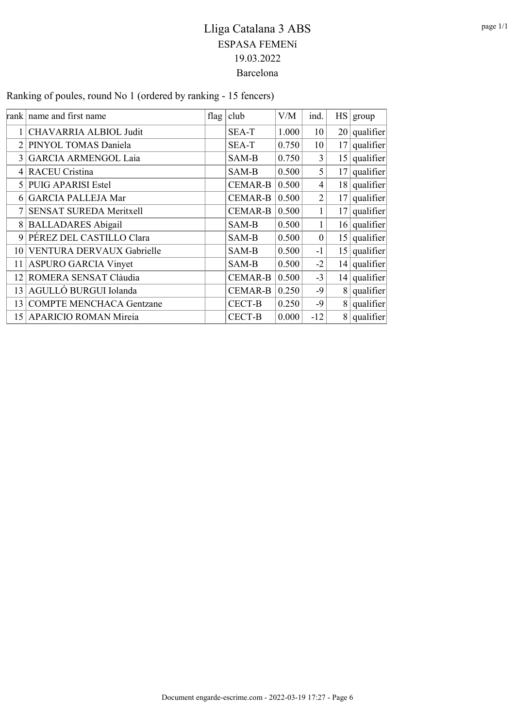Ranking of poules, round No 1 (ordered by ranking - 15 fencers)

|                | rank name and first name        | flag | club           | V/M   | ind.             | $\text{HS}$ | group             |
|----------------|---------------------------------|------|----------------|-------|------------------|-------------|-------------------|
|                | CHAVARRIA ALBIOL Judit          |      | SEA-T          | 1.000 | 10               |             | $20$ qualifier    |
| 2              | PINYOL TOMAS Daniela            |      | SEA-T          | 0.750 | 10               | 17          | qualifier         |
| $\overline{3}$ | <b>GARCIA ARMENGOL Laia</b>     |      | SAM-B          | 0.750 | 3                |             | $15$ qualifier    |
|                | <b>RACEU Cristina</b>           |      | SAM-B          | 0.500 | 5                | 17          | qualifier         |
| 5 <sup>1</sup> | <b>PUIG APARISI Estel</b>       |      | <b>CEMAR-B</b> | 0.500 | 4                |             | $18$ qualifier    |
|                | <b>GARCIA PALLEJA Mar</b>       |      | <b>CEMAR-B</b> | 0.500 | $\overline{2}$   | 17          | $ $ qualifier $ $ |
|                | SENSAT SUREDA Meritxell         |      | <b>CEMAR-B</b> | 0.500 |                  | 17          | qualifier         |
| 8              | <b>BALLADARES Abigail</b>       |      | SAM-B          | 0.500 | 1                |             | $16$ qualifier    |
| 9              | PÉREZ DEL CASTILLO Clara        |      | SAM-B          | 0.500 | $\boldsymbol{0}$ |             | $15$ qualifier    |
| 10             | VENTURA DERVAUX Gabrielle       |      | SAM-B          | 0.500 | $-1$             |             | $15$ qualifier    |
| 11             | <b>ASPURO GARCIA Vinyet</b>     |      | SAM-B          | 0.500 | $-2$             |             | $14$ qualifier    |
| 12             | ROMERA SENSAT Clàudia           |      | <b>CEMAR-B</b> | 0.500 | $-3$             |             | $14$ qualifier    |
| 13             | AGULLÓ BURGUI Iolanda           |      | <b>CEMAR-B</b> | 0.250 | $-9$             |             | $8$ qualifier     |
| 13             | <b>COMPTE MENCHACA Gentzane</b> |      | <b>CECT-B</b>  | 0.250 | $-9$             |             | $8$ qualifier     |
| 15             | <b>APARICIO ROMAN Mireia</b>    |      | <b>CECT-B</b>  | 0.000 | $-12$            |             | $8$ qualifier     |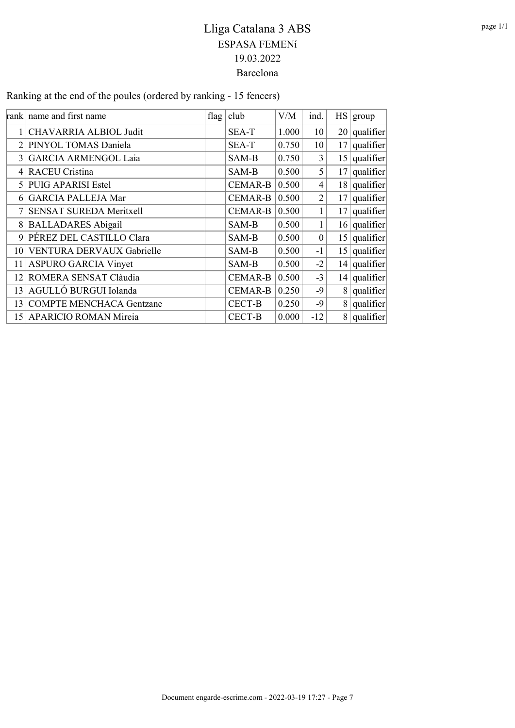Ranking at the end of the poules (ordered by ranking - 15 fencers)

|                | rank name and first name        | flag | club           | V/M   | ind.             | $\text{HS}$    | group          |
|----------------|---------------------------------|------|----------------|-------|------------------|----------------|----------------|
|                | CHAVARRIA ALBIOL Judit          |      | SEA-T          | 1.000 | 10               |                | $20$ qualifier |
| 2              | PINYOL TOMAS Daniela            |      | SEA-T          | 0.750 | 10               | 17             | $ $ qualifier  |
| 3              | <b>GARCIA ARMENGOL Laia</b>     |      | SAM-B          | 0.750 | 3                |                | $15$ qualifier |
| 4              | <b>RACEU Cristina</b>           |      | SAM-B          | 0.500 | 5                | 17             | qualifier      |
| $\mathcal{F}$  | <b>PUIG APARISI Estel</b>       |      | <b>CEMAR-B</b> | 0.500 | 4                |                | $18$ qualifier |
| 6              | <b>GARCIA PALLEJA Mar</b>       |      | <b>CEMAR-B</b> | 0.500 | $\overline{2}$   | 17             | qualifier      |
|                | SENSAT SUREDA Meritxell         |      | <b>CEMAR-B</b> | 0.500 |                  | 17             | qualifier      |
| 8 <sup>1</sup> | <b>BALLADARES Abigail</b>       |      | SAM-B          | 0.500 |                  |                | $16$ qualifier |
| 9              | PÉREZ DEL CASTILLO Clara        |      | SAM-B          | 0.500 | $\boldsymbol{0}$ |                | $15$ qualifier |
| 10             | VENTURA DERVAUX Gabrielle       |      | SAM-B          | 0.500 | $-1$             |                | $15$ qualifier |
| 11             | <b>ASPURO GARCIA Vinyet</b>     |      | SAM-B          | 0.500 | $-2$             |                | $14$ qualifier |
| 12             | ROMERA SENSAT Clàudia           |      | <b>CEMAR-B</b> | 0.500 | $-3$             |                | $14$ qualifier |
| 13             | AGULLÓ BURGUI Iolanda           |      | <b>CEMAR-B</b> | 0.250 | $-9$             |                | $8$ qualifier  |
| 13             | <b>COMPTE MENCHACA Gentzane</b> |      | <b>CECT-B</b>  | 0.250 | $-9$             | 8 <sup>1</sup> | qualifier      |
| 15             | <b>APARICIO ROMAN Mireia</b>    |      | CECT-B         | 0.000 | $-12$            |                | $8$ qualifier  |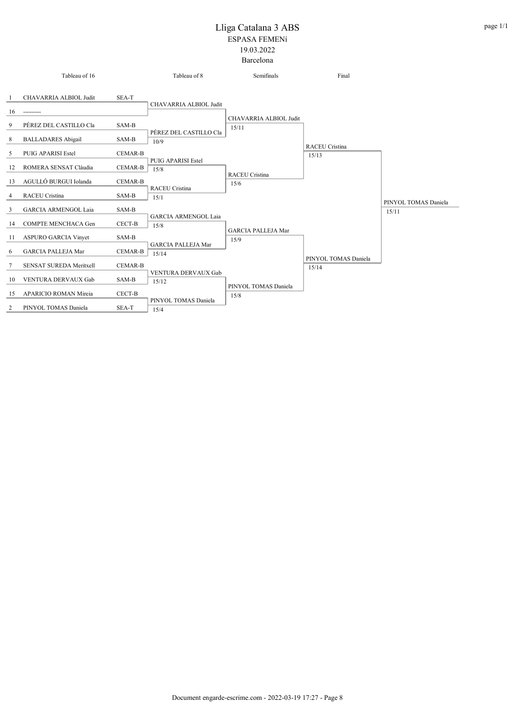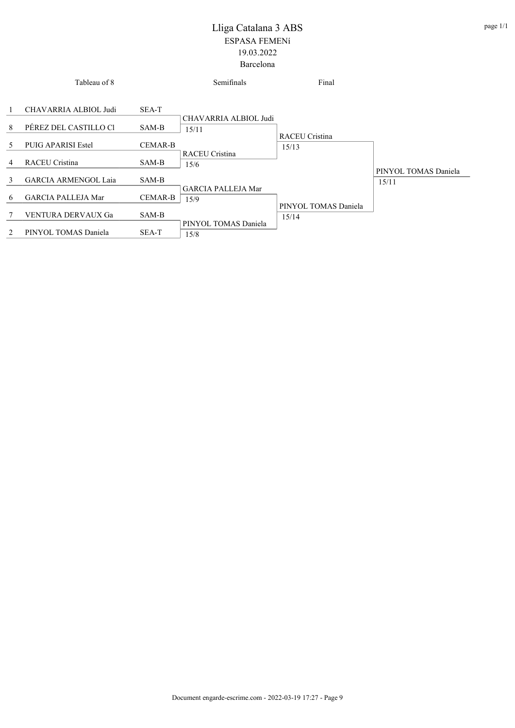|   | Tableau of 8                |                | Semifinals                     | Final                   |                      |
|---|-----------------------------|----------------|--------------------------------|-------------------------|----------------------|
| 1 | CHAVARRIA ALBIOL Judi       | SEA-T          |                                |                         |                      |
| 8 | PÉREZ DEL CASTILLO CI       | SAM-B          | CHAVARRIA ALBIOL Judi<br>15/11 |                         |                      |
| 5 | <b>PUIG APARISI Estel</b>   | <b>CEMAR-B</b> |                                | RACEU Cristina<br>15/13 |                      |
| 4 | <b>RACEU Cristina</b>       | SAM-B          | <b>RACEU Cristina</b><br>15/6  |                         | PINYOL TOMAS Daniela |
| 3 | <b>GARCIA ARMENGOL Laja</b> | SAM-B          | <b>GARCIA PALLEJA Mar</b>      |                         | 15/11                |
| 6 | <b>GARCIA PALLEJA Mar</b>   | <b>CEMAR-B</b> | 15/9                           | PINYOL TOMAS Daniela    |                      |
| 7 | VENTURA DERVAUX Ga          | SAM-B          |                                | 15/14                   |                      |
| 2 | PINYOL TOMAS Daniela        | SEA-T          | PINYOL TOMAS Daniela<br>15/8   |                         |                      |